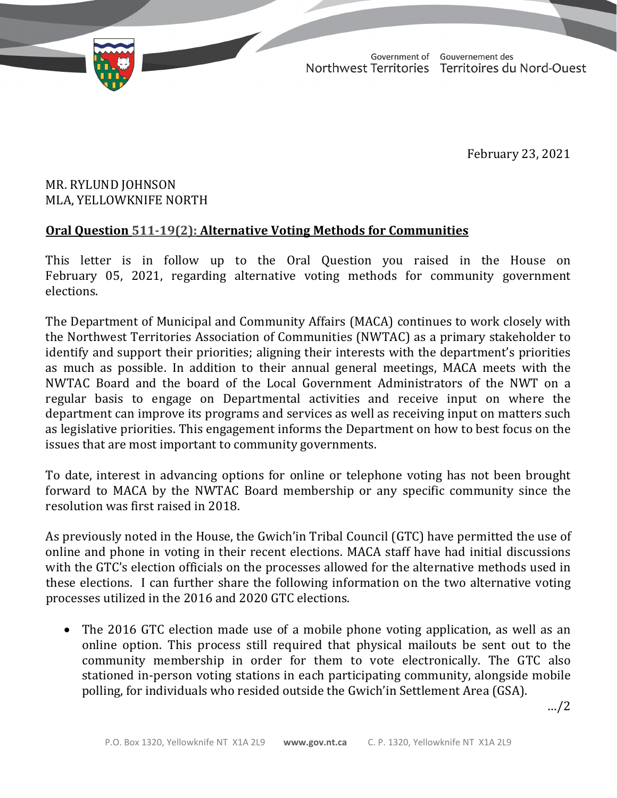TD 319-19(2) TABLED ON FEBRUARY 24, 2021

Government of Gouvernement des Northwest Territories Territoires du Nord-Ouest

February 23, 2021

## MR. RYLUND JOHNSON MLA, YELLOWKNIFE NORTH

## **Oral Question 511‐19(2): Alternative Voting Methods for Communities**

This letter is in follow up to the Oral Question you raised in the House on February 05, 2021, regarding alternative voting methods for community government elections.

The Department of Municipal and Community Affairs (MACA) continues to work closely with the Northwest Territories Association of Communities (NWTAC) as a primary stakeholder to identify and support their priorities; aligning their interests with the department's priorities as much as possible. In addition to their annual general meetings, MACA meets with the NWTAC Board and the board of the Local Government Administrators of the NWT on a regular basis to engage on Departmental activities and receive input on where the department can improve its programs and services as well as receiving input on matters such as legislative priorities. This engagement informs the Department on how to best focus on the issues that are most important to community governments.

To date, interest in advancing options for online or telephone voting has not been brought forward to MACA by the NWTAC Board membership or any specific community since the resolution was first raised in 2018.

As previously noted in the House, the Gwich'in Tribal Council (GTC) have permitted the use of online and phone in voting in their recent elections. MACA staff have had initial discussions with the GTC's election officials on the processes allowed for the alternative methods used in these elections. I can further share the following information on the two alternative voting processes utilized in the 2016 and 2020 GTC elections.

• The 2016 GTC election made use of a mobile phone voting application, as well as an online option. This process still required that physical mailouts be sent out to the community membership in order for them to vote electronically. The GTC also stationed in-person voting stations in each participating community, alongside mobile polling, for individuals who resided outside the Gwich'in Settlement Area (GSA).

…/2